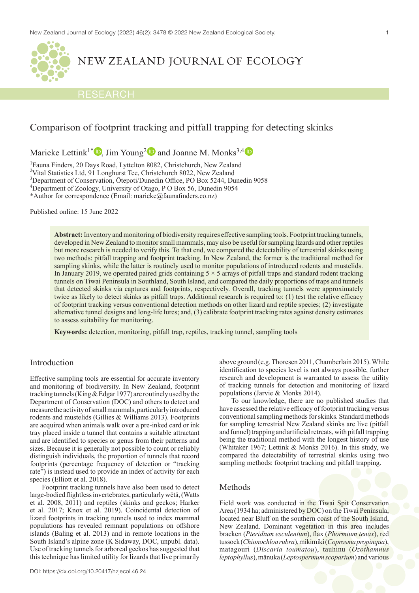

# NEW ZEALAND JOURNAL OF ECOLOGY

### RESEARCH

## Comparison of footprint tracking and pitfall trapping for detecting skinks

Marieke Lettink<sup>1\*</sup>  $\bullet$ , Jim Young<sup>2</sup> and Joanne M. Monks<sup>3,[4](https://orcid.org/0000-0001-9391-380X)</sup>

<sup>1</sup>Fauna Finders, 20 Days Road, Lyttelton 8082, Christchurch, New Zealand

<sup>2</sup>Vital Statistics Ltd, 91 Longhurst Tce, Christchurch 8022, New Zealand

3 Department of Conservation, Ōtepoti/Dunedin Office, PO Box 5244, Dunedin 9058

4 Department of Zoology, University of Otago, P O Box 56, Dunedin 9054

\*Author for correspondence (Email: marieke@faunafinders.co.nz)

Published online: 15 June 2022

**Abstract:** Inventory and monitoring of biodiversity requires effective sampling tools. Footprint tracking tunnels, developed in New Zealand to monitor small mammals, may also be useful for sampling lizards and other reptiles but more research is needed to verify this. To that end, we compared the detectability of terrestrial skinks using two methods: pitfall trapping and footprint tracking. In New Zealand, the former is the traditional method for sampling skinks, while the latter is routinely used to monitor populations of introduced rodents and mustelids. In January 2019, we operated paired grids containing  $5 \times 5$  arrays of pitfall traps and standard rodent tracking tunnels on Tiwai Peninsula in Southland, South Island, and compared the daily proportions of traps and tunnels that detected skinks via captures and footprints, respectively. Overall, tracking tunnels were approximately twice as likely to detect skinks as pitfall traps. Additional research is required to: (1) test the relative efficacy of footprint tracking versus conventional detection methods on other lizard and reptile species; (2) investigate alternative tunnel designs and long-life lures; and, (3) calibrate footprint tracking rates against density estimates to assess suitability for monitoring.

**Keywords:** detection, monitoring, pitfall trap, reptiles, tracking tunnel, sampling tools

### Introduction

Effective sampling tools are essential for accurate inventory and monitoring of biodiversity. In New Zealand, footprint tracking tunnels (King & Edgar 1977) are routinely used by the Department of Conservation (DOC) and others to detect and measure the activity of small mammals, particularly introduced rodents and mustelids (Gillies & Williams 2013). Footprints are acquired when animals walk over a pre-inked card or ink tray placed inside a tunnel that contains a suitable attractant and are identified to species or genus from their patterns and sizes. Because it is generally not possible to count or reliably distinguish individuals, the proportion of tunnels that record footprints (percentage frequency of detection or "tracking rate") is instead used to provide an index of activity for each species (Elliott et al. 2018).

Footprint tracking tunnels have also been used to detect large-bodied flightless invertebrates, particularly wētā, (Watts et al. 2008, 2011) and reptiles (skinks and geckos; Harker et al. 2017; Knox et al. 2019). Coincidental detection of lizard footprints in tracking tunnels used to index mammal populations has revealed remnant populations on offshore islands (Baling et al. 2013) and in remote locations in the South Island's alpine zone (K Sidaway, DOC, unpubl. data). Use of tracking tunnels for arboreal geckos has suggested that this technique has limited utility for lizards that live primarily above ground (e.g. Thoresen 2011, Chamberlain 2015). While identification to species level is not always possible, further research and development is warranted to assess the utility of tracking tunnels for detection and monitoring of lizard populations (Jarvie & Monks 2014).

To our knowledge, there are no published studies that have assessed the relative efficacy of footprint tracking versus conventional sampling methods for skinks. Standard methods for sampling terrestrial New Zealand skinks are live (pitfall and funnel) trapping and artificial retreats, with pitfall trapping being the traditional method with the longest history of use (Whitaker 1967; Lettink & Monks 2016). In this study, we compared the detectability of terrestrial skinks using two sampling methods: footprint tracking and pitfall trapping.

#### Methods

Field work was conducted in the Tiwai Spit Conservation Area (1934 ha; administered by DOC) on the Tiwai Peninsula, located near Bluff on the southern coast of the South Island, New Zealand. Dominant vegetation in this area includes bracken (*Pteridium esculentum*), flax (*Phormium tenax*), red tussock (*Chionochloa rubra*), mikimiki (*Coprosma propinqua*), matagouri (*Discaria toumatou*), tauhinu (*Ozothamnus leptophyllus*), mānuka (*Leptospermum scoparium*) and various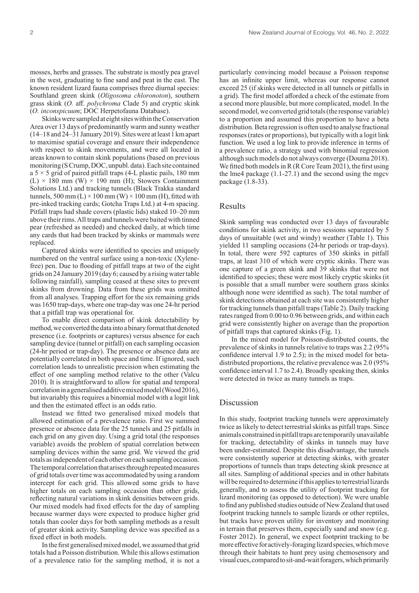mosses, herbs and grasses. The substrate is mostly pea gravel in the west, graduating to fine sand and peat in the east. The known resident lizard fauna comprises three diurnal species: Southland green skink (*Oligosoma chloronoton*), southern grass skink (*O.* aff. *polychroma* Clade 5) and cryptic skink (*O. inconspicuum*; DOC Herpetofauna Database).

Skinks were sampled at eight sites within the Conservation Area over 13 days of predominantly warm and sunny weather (14–18 and 24–31 January 2019). Sites were at least 1 km apart to maximise spatial coverage and ensure their independence with respect to skink movements, and were all located in areas known to contain skink populations (based on previous monitoring (S Crump, DOC, unpubl. data). Each site contained a  $5 \times 5$  grid of paired pitfall traps (4-L plastic pails, 180 mm (L)  $\times$  180 mm (W)  $\times$  190 mm (H); Stowers Containment Solutions Ltd.) and tracking tunnels (Black Trakka standard tunnels, 500 mm (L)  $\times$  100 mm (W)  $\times$  100 mm (H), fitted with pre-inked tracking cards; Gotcha Traps Ltd.) at 4-m spacing. Pitfall traps had shade covers (plastic lids) staked 10–20 mm above their rims. All traps and tunnels were baited with tinned pear (refreshed as needed) and checked daily, at which time any cards that had been tracked by skinks or mammals were replaced.

Captured skinks were identified to species and uniquely numbered on the ventral surface using a non-toxic (Xylenefree) pen. Due to flooding of pitfall traps at two of the eight grids on 24 January 2019 (day 6; caused by a rising water table following rainfall), sampling ceased at these sites to prevent skinks from drowning. Data from these grids was omitted from all analyses. Trapping effort for the six remaining grids was 1650 trap-days, where one trap-day was one 24-hr period that a pitfall trap was operational for.

To enable direct comparison of skink detectability by method, we converted the data into a binary format that denoted presence (i.e. footprints or captures) versus absence for each sampling device (tunnel or pitfall) on each sampling occasion (24-hr period or trap-day). The presence or absence data are potentially correlated in both space and time. If ignored, such correlation leads to unrealistic precision when estimating the effect of one sampling method relative to the other (Valcu 2010). It is straightforward to allow for spatial and temporal correlation in a generalised additive mixed model (Wood 2016), but invariably this requires a binomial model with a logit link and then the estimated effect is an odds ratio.

Instead we fitted two generalised mixed models that allowed estimation of a prevalence ratio. First we summed presence or absence data for the 25 tunnels and 25 pitfalls in each grid on any given day. Using a grid total (the responses variable) avoids the problem of spatial correlation between sampling devices within the same grid. We viewed the grid totals as independent of each other on each sampling occasion. The temporal correlation that arises through repeated measures of grid totals over time was accommodated by using a random intercept for each grid. This allowed some grids to have higher totals on each sampling occasion than other grids, reflecting natural variations in skink densities between grids. Our mixed models had fixed effects for the day of sampling because warmer days were expected to produce higher grid totals than cooler days for both sampling methods as a result of greater skink activity. Sampling device was specified as a fixed effect in both models.

In the first generalised mixed model, we assumed that grid totals had a Poisson distribution. While this allows estimation of a prevalence ratio for the sampling method, it is not a particularly convincing model because a Poisson response has an infinite upper limit, whereas our response cannot exceed 25 (if skinks were detected in all tunnels or pitfalls in a grid). The first model afforded a check of the estimate from a second more plausible, but more complicated, model. In the second model, we converted grid totals (the response variable) to a proportion and assumed this proportion to have a beta distribution. Beta regression is often used to analyse fractional responses (rates or proportions), but typically with a logit link function. We used a log link to provide inference in terms of a prevalence ratio, a strategy used with binomial regression although such models do not always converge (Douma 2018). We fitted both models in R (R Core Team 2021), the first using the lme4 package (1.1-27.1) and the second using the mgcv package (1.8-33).

#### Results

Skink sampling was conducted over 13 days of favourable conditions for skink activity, in two sessions separated by 5 days of unsuitable (wet and windy) weather (Table 1). This yielded 11 sampling occasions (24-hr periods or trap-days). In total, there were 592 captures of 350 skinks in pitfall traps, at least 310 of which were cryptic skinks. There was one capture of a green skink and 39 skinks that were not identified to species; these were most likely cryptic skinks (it is possible that a small number were southern grass skinks although none were identified as such). The total number of skink detections obtained at each site was consistently higher for tracking tunnels than pitfall traps (Table 2). Daily tracking rates ranged from 0.00 to 0.96 between grids, and within each grid were consistently higher on average than the proportion of pitfall traps that captured skinks (Fig. 1).

In the mixed model for Poisson-distributed counts, the prevalence of skinks in tunnels relative to traps was 2.2 (95% confidence interval 1.9 to 2.5); in the mixed model for betadistributed proportions, the relative prevalence was 2.0 (95% confidence interval 1.7 to 2.4). Broadly speaking then, skinks were detected in twice as many tunnels as traps.

#### Discussion

In this study, footprint tracking tunnels were approximately twice as likely to detect terrestrial skinks as pitfall traps. Since animals constrained in pitfall traps are temporarily unavailable for tracking, detectability of skinks in tunnels may have been under-estimated. Despite this disadvantage, the tunnels were consistently superior at detecting skinks, with greater proportions of tunnels than traps detecting skink presence at all sites. Sampling of additional species and in other habitats will be required to determine if this applies to terrestrial lizards generally, and to assess the utility of footprint tracking for lizard monitoring (as opposed to detection). We were unable to find any published studies outside of New Zealand that used footprint tracking tunnels to sample lizards or other reptiles, but tracks have proven utility for inventory and monitoring in terrain that preserves them, especially sand and snow (e.g. Foster 2012). In general, we expect footprint tracking to be more effective for actively-foraging lizard species, which move through their habitats to hunt prey using chemosensory and visual cues, compared to sit-and-wait foragers, which primarily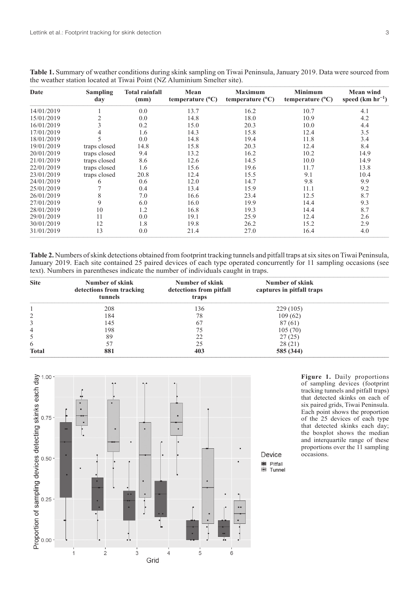| Date       | <b>Sampling</b><br>day | <b>Total rainfall</b><br>(mm) | Mean<br>temperature $(^{0}C)$ | <b>Maximum</b><br>temperature $(^{\circ}C)$ | <b>Minimum</b><br>temperature $(^{\circ}C)$ | <b>Mean wind</b><br>speed $(km hr^{-1})$ |
|------------|------------------------|-------------------------------|-------------------------------|---------------------------------------------|---------------------------------------------|------------------------------------------|
| 14/01/2019 |                        | 0.0                           | 13.7                          | 16.2                                        | 10.7                                        | 4.1                                      |
| 15/01/2019 | $\overline{2}$         | 0.0                           | 14.8                          | 18.0                                        | 10.9                                        | 4.2                                      |
| 16/01/2019 | 3                      | 0.2                           | 15.0                          | 20.3                                        | 10.0                                        | 4.4                                      |
| 17/01/2019 | 4                      | 1.6                           | 14.3                          | 15.8                                        | 12.4                                        | 3.5                                      |
| 18/01/2019 | 5                      | 0.0                           | 14.8                          | 19.4                                        | 11.8                                        | 3.4                                      |
| 19/01/2019 | traps closed           | 14.8                          | 15.8                          | 20.3                                        | 12.4                                        | 8.4                                      |
| 20/01/2019 | traps closed           | 9.4                           | 13.2                          | 16.2                                        | 10.2                                        | 14.9                                     |
| 21/01/2019 | traps closed           | 8.6                           | 12.6                          | 14.5                                        | 10.0                                        | 14.9                                     |
| 22/01/2019 | traps closed           | 1.6                           | 15.6                          | 19.6                                        | 11.7                                        | 13.8                                     |
| 23/01/2019 | traps closed           | 20.8                          | 12.4                          | 15.5                                        | 9.1                                         | 10.4                                     |
| 24/01/2019 | 6                      | 0.6                           | 12.0                          | 14.7                                        | 9.8                                         | 9.9                                      |
| 25/01/2019 |                        | 0.4                           | 13.4                          | 15.9                                        | 11.1                                        | 9.2                                      |
| 26/01/2019 | 8                      | 7.0                           | 16.6                          | 23.4                                        | 12.5                                        | 8.7                                      |
| 27/01/2019 | 9                      | 6.0                           | 16.0                          | 19.9                                        | 14.4                                        | 9.3                                      |
| 28/01/2019 | 10                     | 1.2                           | 16.8                          | 19.3                                        | 14.4                                        | 8.7                                      |
| 29/01/2019 | 11                     | 0.0                           | 19.1                          | 25.9                                        | 12.4                                        | 2.6                                      |
| 30/01/2019 | 12                     | 1.8                           | 19.8                          | 26.2                                        | 15.2                                        | 2.9                                      |
| 31/01/2019 | 13                     | 0.0                           | 21.4                          | 27.0                                        | 16.4                                        | 4.0                                      |

**Table 1.** Summary of weather conditions during skink sampling on Tiwai Peninsula, January 2019. Data were sourced from the weather station located at Tiwai Point (NZ Aluminium Smelter site).

**Table 2.** Numbers of skink detections obtained from footprint tracking tunnels and pitfall traps at six sites on Tiwai Peninsula, January 2019. Each site contained 25 paired devices of each type operated concurrently for 11 sampling occasions (see text). Numbers in parentheses indicate the number of individuals caught in traps.

| <b>Site</b>  | Number of skink<br>detections from tracking<br>tunnels | Number of skink<br>detections from pitfall<br>traps | Number of skink<br>captures in pitfall traps |  |
|--------------|--------------------------------------------------------|-----------------------------------------------------|----------------------------------------------|--|
|              | 208                                                    | 136                                                 | 229(105)                                     |  |
| 2            | 184                                                    | 78                                                  | 109(62)                                      |  |
| 3            | 145                                                    | 67                                                  | 87(61)                                       |  |
| 4            | 198                                                    | 75                                                  | 105(70)                                      |  |
| 5            | 89                                                     | 22                                                  | 27(25)                                       |  |
| 6            | 57                                                     | 25                                                  | 28(21)                                       |  |
| <b>Total</b> | 881                                                    | 403                                                 | 585 (344)                                    |  |



**Figure 1.** Daily proportions of sampling devices (footprint tracking tunnels and pitfall traps) that detected skinks on each of six paired grids, Tiwai Peninsula. Each point shows the proportion of the 25 devices of each type that detected skinks each day; the boxplot shows the median and interquartile range of these proportions over the 11 sampling occasions.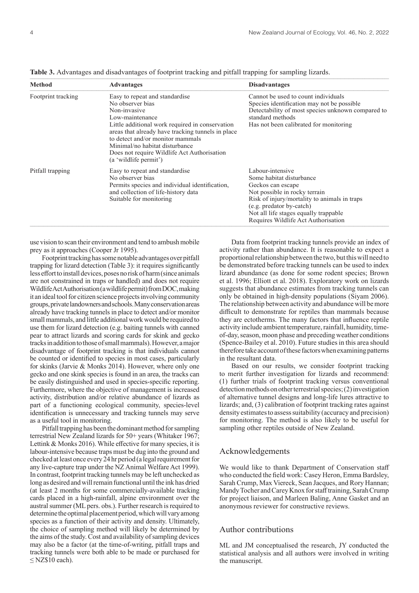| <b>Method</b>                                                                                                                                                                              | <b>Advantages</b>                                                                                                                                                                                                                                                                                                                           | <b>Disadvantages</b>                                                                                                                                                                                                                                           |  |
|--------------------------------------------------------------------------------------------------------------------------------------------------------------------------------------------|---------------------------------------------------------------------------------------------------------------------------------------------------------------------------------------------------------------------------------------------------------------------------------------------------------------------------------------------|----------------------------------------------------------------------------------------------------------------------------------------------------------------------------------------------------------------------------------------------------------------|--|
| Footprint tracking                                                                                                                                                                         | Easy to repeat and standardise<br>No observer bias<br>Non-invasive<br>Low-maintenance<br>Little additional work required in conservation<br>areas that already have tracking tunnels in place<br>to detect and/or monitor mammals<br>Minimal/no habitat disturbance<br>Does not require Wildlife Act Authorisation<br>(a 'wildlife permit') | Cannot be used to count individuals<br>Species identification may not be possible.<br>Detectability of most species unknown compared to<br>standard methods<br>Has not been calibrated for monitoring                                                          |  |
| Pitfall trapping<br>Easy to repeat and standardise<br>No observer bias<br>Permits species and individual identification,<br>and collection of life-history data<br>Suitable for monitoring |                                                                                                                                                                                                                                                                                                                                             | Labour-intensive<br>Some habitat disturbance<br>Geckos can escape<br>Not possible in rocky terrain<br>Risk of injury/mortality to animals in traps<br>(e.g. predator by-catch)<br>Not all life stages equally trappable<br>Requires Wildlife Act Authorisation |  |

Table 3. Advantages and disadvantages of footprint tracking and pitfall trapping for sampling lizards.

use vision to scan their environment and tend to ambush mobile prey as it approaches (Cooper Jr 1995).

Footprint tracking has some notable advantages over pitfall trapping for lizard detection (Table 3): it requires significantly less effort to install devices, poses no risk of harm (since animals are not constrained in traps or handled) and does not require Wildlife Act Authorisation (a wildlife permit) from DOC, making it an ideal tool for citizen science projects involving community groups, private landowners and schools. Many conservation areas already have tracking tunnels in place to detect and/or monitor small mammals, and little additional work would be required to use them for lizard detection (e.g. baiting tunnels with canned pear to attract lizards and scoring cards for skink and gecko tracks in addition to those of small mammals). However, a major disadvantage of footprint tracking is that individuals cannot be counted or identified to species in most cases, particularly for skinks (Jarvie & Monks 2014). However, where only one gecko and one skink species is found in an area, the tracks can be easily distinguished and used in species-specific reporting. Furthermore, where the objective of management is increased activity, distribution and/or relative abundance of lizards as part of a functioning ecological community, species-level identification is unnecessary and tracking tunnels may serve as a useful tool in monitoring.

Pitfall trapping has been the dominant method for sampling terrestrial New Zealand lizards for 50+ years (Whitaker 1967; Lettink & Monks 2016). While effective for many species, it is labour-intensive because traps must be dug into the ground and checked at least once every 24 hr period (a legal requirement for any live-capture trap under the NZ Animal Welfare Act 1999). In contrast, footprint tracking tunnels may be left unchecked as long as desired and will remain functional until the ink has dried (at least 2 months for some commercially-available tracking cards placed in a high-rainfall, alpine environment over the austral summer (ML pers. obs.). Further research is required to determine the optimal placement period, which will vary among species as a function of their activity and density. Ultimately, the choice of sampling method will likely be determined by the aims of the study. Cost and availability of sampling devices may also be a factor (at the time-of-writing, pitfall traps and tracking tunnels were both able to be made or purchased for  $\leq$  NZ\$10 each).

Data from footprint tracking tunnels provide an index of activity rather than abundance. It is reasonable to expect a proportional relationship between the two, but this will need to be demonstrated before tracking tunnels can be used to index lizard abundance (as done for some rodent species; Brown et al. 1996; Elliott et al. 2018). Exploratory work on lizards suggests that abundance estimates from tracking tunnels can only be obtained in high-density populations (Siyam 2006). The relationship between activity and abundance will be more difficult to demonstrate for reptiles than mammals because they are ectotherms. The many factors that influence reptile activity include ambient temperature, rainfall, humidity, timeof-day, season, moon phase and preceding weather conditions (Spence-Bailey et al. 2010). Future studies in this area should therefore take account of these factors when examining patterns in the resultant data.

Based on our results, we consider footprint tracking to merit further investigation for lizards and recommend: (1) further trials of footprint tracking versus conventional detection methods on other terrestrial species; (2) investigation of alternative tunnel designs and long-life lures attractive to lizards; and, (3) calibration of footprint tracking rates against density estimates to assess suitability (accuracy and precision) for monitoring. The method is also likely to be useful for sampling other reptiles outside of New Zealand.

#### Acknowledgements

We would like to thank Department of Conservation staff who conducted the field work: Casey Heron, Emma Bardsley, Sarah Crump, Max Viereck, Sean Jacques, and Rory Hannan; Mandy Tocher and Carey Knox for staff training, Sarah Crump for project liaison, and Marleen Baling, Anne Gasket and an anonymous reviewer for constructive reviews.

#### Author contributions

ML and JM conceptualised the research, JY conducted the statistical analysis and all authors were involved in writing the manuscript.